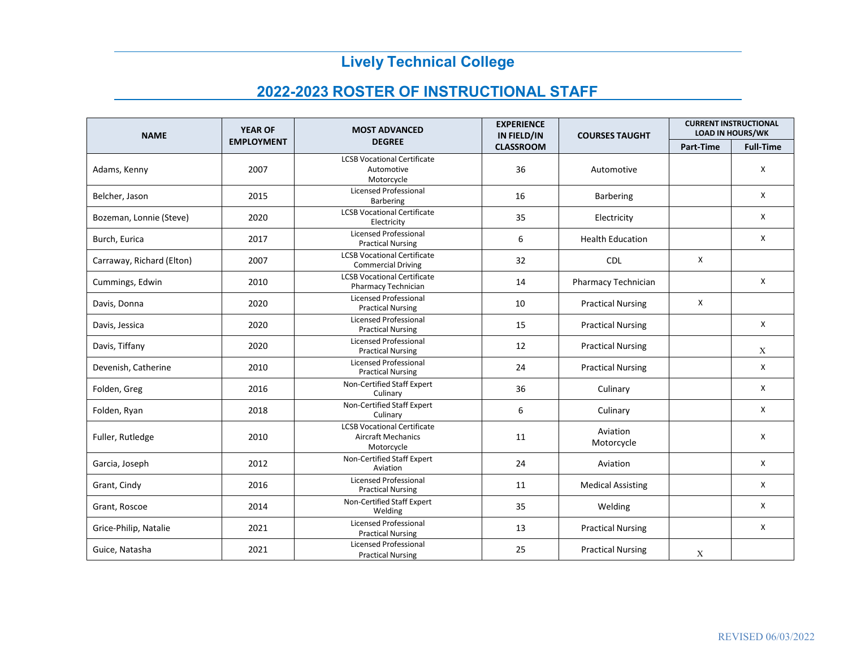## **Lively Technical College**

## **2022-2023 ROSTER OF INSTRUCTIONAL STAFF**

| <b>NAME</b>               | <b>YEAR OF</b>    | <b>MOST ADVANCED</b>                                                          | <b>EXPERIENCE</b><br>IN FIELD/IN | <b>COURSES TAUGHT</b>    | <b>CURRENT INSTRUCTIONAL</b><br><b>LOAD IN HOURS/WK</b> |                  |
|---------------------------|-------------------|-------------------------------------------------------------------------------|----------------------------------|--------------------------|---------------------------------------------------------|------------------|
|                           | <b>EMPLOYMENT</b> | <b>DEGREE</b>                                                                 | <b>CLASSROOM</b>                 |                          | Part-Time                                               | <b>Full-Time</b> |
| Adams, Kenny              | 2007              | <b>LCSB Vocational Certificate</b><br>Automotive<br>Motorcycle                | 36                               | Automotive               |                                                         | X                |
| Belcher, Jason            | 2015              | <b>Licensed Professional</b><br><b>Barbering</b>                              | 16                               | <b>Barbering</b>         |                                                         | X                |
| Bozeman, Lonnie (Steve)   | 2020              | <b>LCSB Vocational Certificate</b><br>Electricity                             | 35                               | Electricity              |                                                         | X                |
| Burch, Eurica             | 2017              | <b>Licensed Professional</b><br><b>Practical Nursing</b>                      | 6                                | <b>Health Education</b>  |                                                         | X                |
| Carraway, Richard (Elton) | 2007              | <b>LCSB Vocational Certificate</b><br><b>Commercial Driving</b>               | 32                               | <b>CDL</b>               | X                                                       |                  |
| Cummings, Edwin           | 2010              | <b>LCSB Vocational Certificate</b><br>Pharmacy Technician                     | 14                               | Pharmacy Technician      |                                                         | X                |
| Davis, Donna              | 2020              | <b>Licensed Professional</b><br><b>Practical Nursing</b>                      | 10                               | <b>Practical Nursing</b> | X                                                       |                  |
| Davis, Jessica            | 2020              | <b>Licensed Professional</b><br><b>Practical Nursing</b>                      | 15                               | <b>Practical Nursing</b> |                                                         | X                |
| Davis, Tiffany            | 2020              | Licensed Professional<br><b>Practical Nursing</b>                             | 12                               | <b>Practical Nursing</b> |                                                         | X                |
| Devenish, Catherine       | 2010              | <b>Licensed Professional</b><br><b>Practical Nursing</b>                      | 24                               | <b>Practical Nursing</b> |                                                         | X                |
| Folden, Greg              | 2016              | Non-Certified Staff Expert<br>Culinary                                        | 36                               | Culinary                 |                                                         | X                |
| Folden, Ryan              | 2018              | Non-Certified Staff Expert<br>Culinary                                        | 6                                | Culinary                 |                                                         | X                |
| Fuller, Rutledge          | 2010              | <b>LCSB Vocational Certificate</b><br><b>Aircraft Mechanics</b><br>Motorcycle | 11                               | Aviation<br>Motorcycle   |                                                         | X                |
| Garcia, Joseph            | 2012              | Non-Certified Staff Expert<br>Aviation                                        | 24                               | Aviation                 |                                                         | X                |
| Grant, Cindy              | 2016              | <b>Licensed Professional</b><br><b>Practical Nursing</b>                      | 11                               | <b>Medical Assisting</b> |                                                         | X                |
| Grant, Roscoe             | 2014              | Non-Certified Staff Expert<br>Welding                                         | 35                               | Welding                  |                                                         | Χ                |
| Grice-Philip, Natalie     | 2021              | Licensed Professional<br><b>Practical Nursing</b>                             | 13                               | <b>Practical Nursing</b> |                                                         | X                |
| Guice, Natasha            | 2021              | <b>Licensed Professional</b><br><b>Practical Nursing</b>                      | 25                               | <b>Practical Nursing</b> | X                                                       |                  |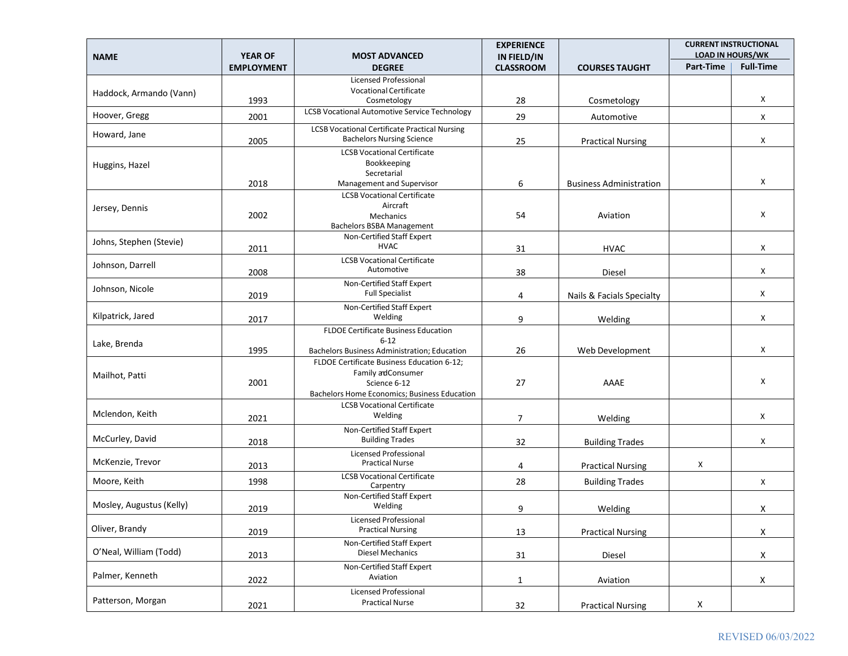|                          | <b>YEAR OF</b>    |                                                                 | <b>EXPERIENCE</b>               |                                | <b>CURRENT INSTRUCTIONAL</b><br><b>LOAD IN HOURS/WK</b> |                    |
|--------------------------|-------------------|-----------------------------------------------------------------|---------------------------------|--------------------------------|---------------------------------------------------------|--------------------|
| <b>NAME</b>              | <b>EMPLOYMENT</b> | <b>MOST ADVANCED</b><br><b>DEGREE</b>                           | IN FIELD/IN<br><b>CLASSROOM</b> | <b>COURSES TAUGHT</b>          | Part-Time                                               | <b>Full-Time</b>   |
|                          |                   | Licensed Professional                                           |                                 |                                |                                                         |                    |
| Haddock, Armando (Vann)  | 1993              | <b>Vocational Certificate</b><br>Cosmetology                    | 28                              | Cosmetology                    |                                                         | Χ                  |
| Hoover, Gregg            | 2001              | <b>LCSB Vocational Automotive Service Technology</b>            | 29                              | Automotive                     |                                                         | X                  |
| Howard, Jane             |                   | <b>LCSB Vocational Certificate Practical Nursing</b>            |                                 |                                |                                                         |                    |
|                          | 2005              | <b>Bachelors Nursing Science</b>                                | 25                              | <b>Practical Nursing</b>       |                                                         | X                  |
|                          |                   | <b>LCSB Vocational Certificate</b><br>Bookkeeping               |                                 |                                |                                                         |                    |
| Huggins, Hazel           |                   | Secretarial                                                     |                                 |                                |                                                         |                    |
|                          | 2018              | Management and Supervisor<br><b>LCSB Vocational Certificate</b> | 6                               | <b>Business Administration</b> |                                                         | Χ                  |
| Jersey, Dennis           |                   | Aircraft                                                        |                                 |                                |                                                         |                    |
|                          | 2002              | Mechanics                                                       | 54                              | Aviation                       |                                                         | Χ                  |
|                          |                   | Bachelors BSBA Management<br>Non-Certified Staff Expert         |                                 |                                |                                                         |                    |
| Johns, Stephen (Stevie)  | 2011              | <b>HVAC</b>                                                     | 31                              | <b>HVAC</b>                    |                                                         | Χ                  |
| Johnson, Darrell         |                   | <b>LCSB Vocational Certificate</b><br>Automotive                |                                 |                                |                                                         |                    |
|                          | 2008              | Non-Certified Staff Expert                                      | 38                              | Diesel                         |                                                         | X                  |
| Johnson, Nicole          | 2019              | <b>Full Specialist</b>                                          | 4                               | Nails & Facials Specialty      |                                                         | X                  |
|                          |                   | Non-Certified Staff Expert                                      |                                 |                                |                                                         |                    |
| Kilpatrick, Jared        | 2017              | Welding                                                         | 9                               | Welding                        |                                                         | X                  |
| Lake, Brenda             |                   | <b>FLDOE Certificate Business Education</b><br>$6 - 12$         |                                 |                                |                                                         |                    |
|                          | 1995              | Bachelors Business Administration; Education                    | 26                              | Web Development                |                                                         | X                  |
|                          |                   | FLDOE Certificate Business Education 6-12;<br>Family adConsumer |                                 |                                |                                                         |                    |
| Mailhot, Patti           | 2001              | Science 6-12                                                    | 27                              | AAAE                           |                                                         | X                  |
|                          |                   | Bachelors Home Economics; Business Education                    |                                 |                                |                                                         |                    |
| Mclendon, Keith          |                   | <b>LCSB Vocational Certificate</b><br>Welding                   | 7                               | Welding                        |                                                         | X                  |
|                          | 2021              | Non-Certified Staff Expert                                      |                                 |                                |                                                         |                    |
| McCurley, David          | 2018              | <b>Building Trades</b>                                          | 32                              | <b>Building Trades</b>         |                                                         | X                  |
| McKenzie, Trevor         |                   | <b>Licensed Professional</b><br><b>Practical Nurse</b>          |                                 |                                |                                                         |                    |
|                          | 2013              | <b>LCSB Vocational Certificate</b>                              | 4                               | <b>Practical Nursing</b>       | Χ                                                       |                    |
| Moore, Keith             | 1998              | Carpentry                                                       | 28                              | <b>Building Trades</b>         |                                                         | X                  |
| Mosley, Augustus (Kelly) | 2019              | Non-Certified Staff Expert<br>Welding                           | 9                               | Welding                        |                                                         | X                  |
|                          |                   | Licensed Professional                                           |                                 |                                |                                                         |                    |
| Oliver, Brandy           | 2019              | <b>Practical Nursing</b>                                        | 13                              | <b>Practical Nursing</b>       |                                                         | $\pmb{\mathsf{X}}$ |
| O'Neal, William (Todd)   |                   | Non-Certified Staff Expert<br>Diesel Mechanics                  |                                 |                                |                                                         |                    |
|                          | 2013              | Non-Certified Staff Expert                                      | 31                              | Diesel                         |                                                         | X                  |
| Palmer, Kenneth          | 2022              | Aviation                                                        | $\mathbf{1}$                    | Aviation                       |                                                         | X                  |
|                          |                   | Licensed Professional                                           |                                 |                                |                                                         |                    |
| Patterson, Morgan        | 2021              | <b>Practical Nurse</b>                                          | 32                              | <b>Practical Nursing</b>       | X                                                       |                    |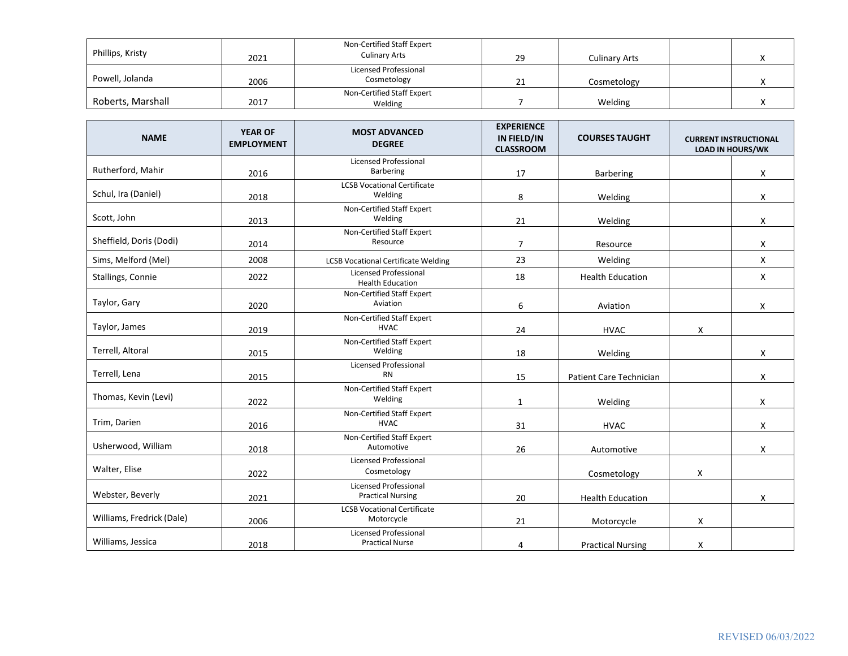| Phillips, Kristy  | 2021 | Non-Certified Staff Expert<br><b>Culinary Arts</b> | 29 | <b>Culinary Arts</b> |  |
|-------------------|------|----------------------------------------------------|----|----------------------|--|
| Powell, Jolanda   | 2006 | Licensed Professional<br>Cosmetology               |    | Cosmetology          |  |
| Roberts, Marshall | 2017 | Non-Certified Staff Expert<br>Welding              |    | Welding              |  |

| <b>NAME</b>               | <b>YEAR OF</b><br><b>EMPLOYMENT</b> | <b>MOST ADVANCED</b><br><b>DEGREE</b>                    | <b>EXPERIENCE</b><br>IN FIELD/IN<br><b>CLASSROOM</b> | <b>COURSES TAUGHT</b>    |   | <b>CURRENT INSTRUCTIONAL</b><br><b>LOAD IN HOURS/WK</b> |
|---------------------------|-------------------------------------|----------------------------------------------------------|------------------------------------------------------|--------------------------|---|---------------------------------------------------------|
| Rutherford, Mahir         | 2016                                | <b>Licensed Professional</b><br>Barbering                | 17                                                   | <b>Barbering</b>         |   | X                                                       |
| Schul, Ira (Daniel)       | 2018                                | <b>LCSB Vocational Certificate</b><br>Welding            | 8                                                    | Welding                  |   | X                                                       |
| Scott, John               | 2013                                | Non-Certified Staff Expert<br>Welding                    | 21                                                   | Welding                  |   | X                                                       |
| Sheffield, Doris (Dodi)   | 2014                                | Non-Certified Staff Expert<br>Resource                   | $\overline{7}$                                       | Resource                 |   | X                                                       |
| Sims, Melford (Mel)       | 2008                                | <b>LCSB Vocational Certificate Welding</b>               | 23                                                   | Welding                  |   | X                                                       |
| Stallings, Connie         | 2022                                | <b>Licensed Professional</b><br><b>Health Education</b>  | 18                                                   | <b>Health Education</b>  |   | X                                                       |
| Taylor, Gary              | 2020                                | Non-Certified Staff Expert<br>Aviation                   | 6                                                    | Aviation                 |   | X                                                       |
| Taylor, James             | 2019                                | Non-Certified Staff Expert<br><b>HVAC</b>                | 24                                                   | <b>HVAC</b>              | X |                                                         |
| Terrell, Altoral          | 2015                                | Non-Certified Staff Expert<br>Welding                    | 18                                                   | Welding                  |   | X                                                       |
| Terrell, Lena             | 2015                                | <b>Licensed Professional</b><br><b>RN</b>                | 15                                                   | Patient Care Technician  |   | X                                                       |
| Thomas, Kevin (Levi)      | 2022                                | Non-Certified Staff Expert<br>Welding                    | $\mathbf{1}$                                         | Welding                  |   | X                                                       |
| Trim, Darien              | 2016                                | Non-Certified Staff Expert<br><b>HVAC</b>                | 31                                                   | <b>HVAC</b>              |   | X                                                       |
| Usherwood, William        | 2018                                | Non-Certified Staff Expert<br>Automotive                 | 26                                                   | Automotive               |   | X                                                       |
| Walter, Elise             | 2022                                | <b>Licensed Professional</b><br>Cosmetology              |                                                      | Cosmetology              | X |                                                         |
| Webster, Beverly          | 2021                                | <b>Licensed Professional</b><br><b>Practical Nursing</b> | 20                                                   | <b>Health Education</b>  |   | Χ                                                       |
| Williams, Fredrick (Dale) | 2006                                | <b>LCSB Vocational Certificate</b><br>Motorcycle         | 21                                                   | Motorcycle               | X |                                                         |
| Williams, Jessica         | 2018                                | <b>Licensed Professional</b><br><b>Practical Nurse</b>   | 4                                                    | <b>Practical Nursing</b> | X |                                                         |